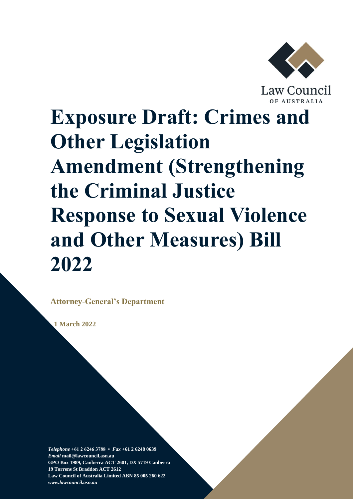

Law Council

# **Exposure Draft: Crimes and Other Legislation Amendment (Strengthening the Criminal Justice Response to Sexual Violence and Other Measures) Bill 2022**

**Attorney-General's Department**

 **1 March 2022**

*Telephone* **+61 2 6246 3788 •** *Fax* **+61 2 6248 0639**  *Email* **mail@lawcouncil.asn.au GPO Box 1989, Canberra ACT 2601, DX 5719 Canberra 19 Torrens St Braddon ACT 2612 Law Council of Australia Limited ABN 85 005 260 622** *www.lawcouncil.asn.au*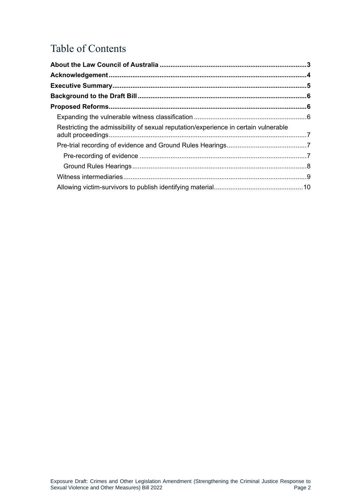# Table of Contents

| Restricting the admissibility of sexual reputation/experience in certain vulnerable |  |
|-------------------------------------------------------------------------------------|--|
|                                                                                     |  |
|                                                                                     |  |
|                                                                                     |  |
|                                                                                     |  |
|                                                                                     |  |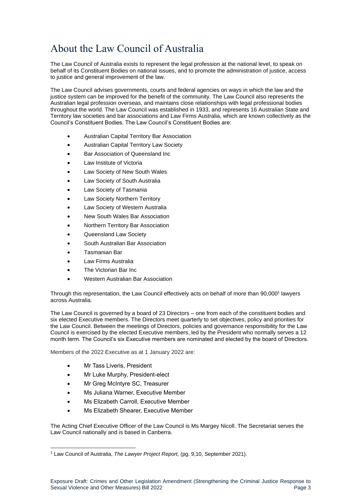# <span id="page-2-0"></span>About the Law Council of Australia

The Law Council of Australia exists to represent the legal profession at the national level, to speak on behalf of its Constituent Bodies on national issues, and to promote the administration of justice, access to justice and general improvement of the law.

The Law Council advises governments, courts and federal agencies on ways in which the law and the justice system can be improved for the benefit of the community. The Law Council also represents the Australian legal profession overseas, and maintains close relationships with legal professional bodies throughout the world. The Law Council was established in 1933, and represents 16 Australian State and Territory law societies and bar associations and Law Firms Australia, which are known collectively as the Council's Constituent Bodies. The Law Council's Constituent Bodies are:

- Australian Capital Territory Bar Association
- Australian Capital Territory Law Society
- Bar Association of Queensland Inc
- Law Institute of Victoria
- Law Society of New South Wales
- Law Society of South Australia
- Law Society of Tasmania
- Law Society Northern Territory
- Law Society of Western Australia
- New South Wales Bar Association
- Northern Territory Bar Association
- Queensland Law Society
- South Australian Bar Association
- Tasmanian Bar
- Law Firms Australia
- The Victorian Bar Inc
- Western Australian Bar Association

Through this representation, the Law Council effectively acts on behalf of more than 90,000<sup>1</sup> lawyers across Australia.

The Law Council is governed by a board of 23 Directors – one from each of the constituent bodies and six elected Executive members. The Directors meet quarterly to set objectives, policy and priorities for the Law Council. Between the meetings of Directors, policies and governance responsibility for the Law Council is exercised by the elected Executive members, led by the President who normally serves a 12 month term. The Council's six Executive members are nominated and elected by the board of Directors.

Members of the 2022 Executive as at 1 January 2022 are:

- Mr Tass Liveris, President
- Mr Luke Murphy, President-elect
- Mr Greg McIntyre SC, Treasurer
- Ms Juliana Warner, Executive Member
- Ms Elizabeth Carroll, Executive Member
- Ms Elizabeth Shearer, Executive Member

The Acting Chief Executive Officer of the Law Council is Ms Margey Nicoll. The Secretariat serves the Law Council nationally and is based in Canberra.

<sup>1</sup> Law Council of Australia, *The Lawyer Project Report*, (pg. 9,10, September 2021).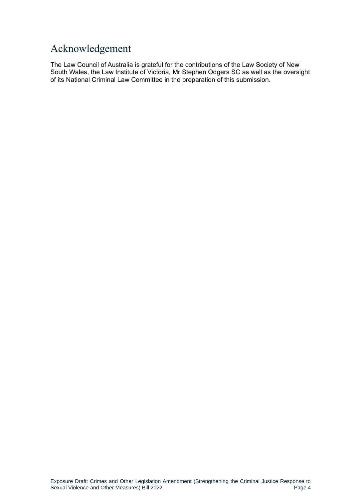## <span id="page-3-0"></span>Acknowledgement

The Law Council of Australia is grateful for the contributions of the Law Society of New South Wales, the Law Institute of Victoria, Mr Stephen Odgers SC as well as the oversight of its National Criminal Law Committee in the preparation of this submission.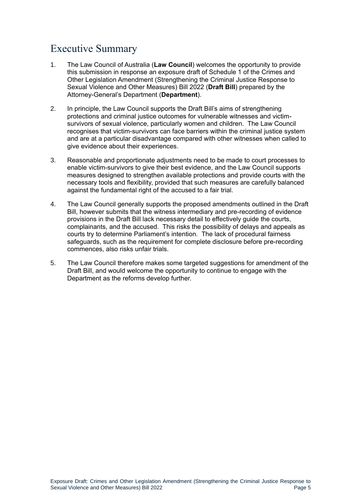## <span id="page-4-0"></span>Executive Summary

- 1. The Law Council of Australia (**Law Council**) welcomes the opportunity to provide this submission in response an exposure draft of Schedule 1 of the Crimes and Other Legislation Amendment (Strengthening the Criminal Justice Response to Sexual Violence and Other Measures) Bill 2022 (**Draft Bill**) prepared by the Attorney-General's Department (**Department**).
- 2. In principle, the Law Council supports the Draft Bill's aims of strengthening protections and criminal justice outcomes for vulnerable witnesses and victimsurvivors of sexual violence, particularly women and children. The Law Council recognises that victim-survivors can face barriers within the criminal justice system and are at a particular disadvantage compared with other witnesses when called to give evidence about their experiences.
- 3. Reasonable and proportionate adjustments need to be made to court processes to enable victim-survivors to give their best evidence, and the Law Council supports measures designed to strengthen available protections and provide courts with the necessary tools and flexibility, provided that such measures are carefully balanced against the fundamental right of the accused to a fair trial.
- 4. The Law Council generally supports the proposed amendments outlined in the Draft Bill, however submits that the witness intermediary and pre-recording of evidence provisions in the Draft Bill lack necessary detail to effectively guide the courts, complainants, and the accused. This risks the possibility of delays and appeals as courts try to determine Parliament's intention. The lack of procedural fairness safeguards, such as the requirement for complete disclosure before pre-recording commences, also risks unfair trials.
- 5. The Law Council therefore makes some targeted suggestions for amendment of the Draft Bill, and would welcome the opportunity to continue to engage with the Department as the reforms develop further.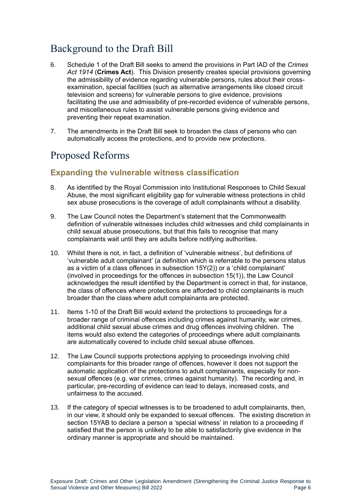# <span id="page-5-0"></span>Background to the Draft Bill

- 6. Schedule 1 of the Draft Bill seeks to amend the provisions in Part IAD of the *Crimes Act 1914* (**Crimes Act**). This Division presently creates special provisions governing the admissibility of evidence regarding vulnerable persons, rules about their crossexamination, special facilities (such as alternative arrangements like closed circuit television and screens) for vulnerable persons to give evidence, provisions facilitating the use and admissibility of pre-recorded evidence of vulnerable persons, and miscellaneous rules to assist vulnerable persons giving evidence and preventing their repeat examination.
- 7. The amendments in the Draft Bill seek to broaden the class of persons who can automatically access the protections, and to provide new protections.

## <span id="page-5-1"></span>Proposed Reforms

### <span id="page-5-2"></span>**Expanding the vulnerable witness classification**

- 8. As identified by the Royal Commission into Institutional Responses to Child Sexual Abuse, the most significant eligibility gap for vulnerable witness protections in child sex abuse prosecutions is the coverage of adult complainants without a disability.
- 9. The Law Council notes the Department's statement that the Commonwealth definition of vulnerable witnesses includes child witnesses and child complainants in child sexual abuse prosecutions, but that this fails to recognise that many complainants wait until they are adults before notifying authorities.
- 10. Whilst there is not, in fact, a definition of 'vulnerable witness', but definitions of 'vulnerable adult complainant' (a definition which is referrable to the persons status as a victim of a class offences in subsection 15Y(2)) or a 'child complainant' (involved in proceedings for the offences in subsection 15(1)), the Law Council acknowledges the result identified by the Department is correct in that, for instance, the class of offences where protections are afforded to child complainants is much broader than the class where adult complainants are protected.
- 11. Items 1-10 of the Draft Bill would extend the protections to proceedings for a broader range of criminal offences including crimes against humanity, war crimes, additional child sexual abuse crimes and drug offences involving children. The items would also extend the categories of proceedings where adult complainants are automatically covered to include child sexual abuse offences.
- 12. The Law Council supports protections applying to proceedings involving child complainants for this broader range of offences, however it does not support the automatic application of the protections to adult complainants, especially for nonsexual offences (e.g. war crimes, crimes against humanity). The recording and, in particular, pre-recording of evidence can lead to delays, increased costs, and unfairness to the accused.
- 13. If the category of special witnesses is to be broadened to adult complainants, then, in our view, it should only be expanded to sexual offences. The existing discretion in section 15YAB to declare a person a 'special witness' in relation to a proceeding if satisfied that the person is unlikely to be able to satisfactorily give evidence in the ordinary manner is appropriate and should be maintained.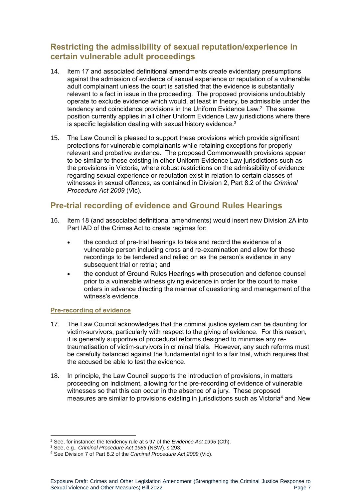## <span id="page-6-0"></span>**Restricting the admissibility of sexual reputation/experience in certain vulnerable adult proceedings**

- 14. Item 17 and associated definitional amendments create evidentiary presumptions against the admission of evidence of sexual experience or reputation of a vulnerable adult complainant unless the court is satisfied that the evidence is substantially relevant to a fact in issue in the proceeding. The proposed provisions undoubtably operate to exclude evidence which would, at least in theory, be admissible under the tendency and coincidence provisions in the Uniform Evidence Law. $2$  The same position currently applies in all other Uniform Evidence Law jurisdictions where there is specific legislation dealing with sexual history evidence. $^3$
- 15. The Law Council is pleased to support these provisions which provide significant protections for vulnerable complainants while retaining exceptions for properly relevant and probative evidence. The proposed Commonwealth provisions appear to be similar to those existing in other Uniform Evidence Law jurisdictions such as the provisions in Victoria, where robust restrictions on the admissibility of evidence regarding sexual experience or reputation exist in relation to certain classes of witnesses in sexual offences, as contained in Division 2, Part 8.2 of the *Criminal Procedure Act 2009* (Vic).

## <span id="page-6-1"></span>**Pre-trial recording of evidence and Ground Rules Hearings**

- 16. Item 18 (and associated definitional amendments) would insert new Division 2A into Part IAD of the Crimes Act to create regimes for:
	- the conduct of pre-trial hearings to take and record the evidence of a vulnerable person including cross and re-examination and allow for these recordings to be tendered and relied on as the person's evidence in any subsequent trial or retrial; and
	- the conduct of Ground Rules Hearings with prosecution and defence counsel prior to a vulnerable witness giving evidence in order for the court to make orders in advance directing the manner of questioning and management of the witness's evidence.

#### <span id="page-6-2"></span>**Pre-recording of evidence**

- 17. The Law Council acknowledges that the criminal justice system can be daunting for victim-survivors, particularly with respect to the giving of evidence. For this reason, it is generally supportive of procedural reforms designed to minimise any retraumatisation of victim-survivors in criminal trials. However, any such reforms must be carefully balanced against the fundamental right to a fair trial, which requires that the accused be able to test the evidence.
- 18. In principle, the Law Council supports the introduction of provisions, in matters proceeding on indictment, allowing for the pre-recording of evidence of vulnerable witnesses so that this can occur in the absence of a jury. These proposed measures are similar to provisions existing in jurisdictions such as Victoria<sup>4</sup> and New

<sup>2</sup> See, for instance: the tendency rule at s 97 of the *Evidence Act 1995* (Cth).

<sup>3</sup> See, e.g., *Criminal Procedure Act 1986* (NSW), s 293.

<sup>4</sup> See Division 7 of Part 8.2 of the *Criminal Procedure Act 2009* (Vic).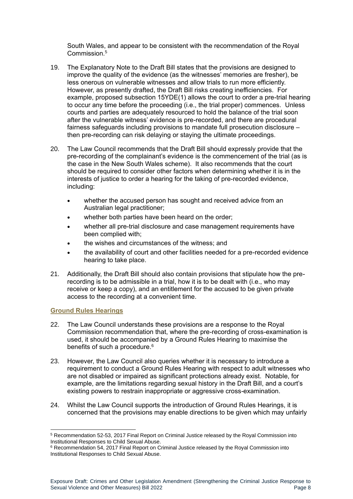South Wales, and appear to be consistent with the recommendation of the Royal Commission.<sup>5</sup>

- 19. The Explanatory Note to the Draft Bill states that the provisions are designed to improve the quality of the evidence (as the witnesses' memories are fresher), be less onerous on vulnerable witnesses and allow trials to run more efficiently. However, as presently drafted, the Draft Bill risks creating inefficiencies. For example, proposed subsection 15YDE(1) allows the court to order a pre-trial hearing to occur any time before the proceeding (i.e., the trial proper) commences. Unless courts and parties are adequately resourced to hold the balance of the trial soon after the vulnerable witness' evidence is pre-recorded, and there are procedural fairness safeguards including provisions to mandate full prosecution disclosure – then pre-recording can risk delaying or staying the ultimate proceedings.
- 20. The Law Council recommends that the Draft Bill should expressly provide that the pre-recording of the complainant's evidence is the commencement of the trial (as is the case in the New South Wales scheme). It also recommends that the court should be required to consider other factors when determining whether it is in the interests of justice to order a hearing for the taking of pre-recorded evidence, including:
	- whether the accused person has sought and received advice from an Australian legal practitioner;
	- whether both parties have been heard on the order;
	- whether all pre-trial disclosure and case management requirements have been complied with;
	- the wishes and circumstances of the witness; and
	- the availability of court and other facilities needed for a pre-recorded evidence hearing to take place.
- 21. Additionally, the Draft Bill should also contain provisions that stipulate how the prerecording is to be admissible in a trial, how it is to be dealt with (i.e., who may receive or keep a copy), and an entitlement for the accused to be given private access to the recording at a convenient time.

#### <span id="page-7-0"></span>**Ground Rules Hearings**

- 22. The Law Council understands these provisions are a response to the Royal Commission recommendation that, where the pre-recording of cross-examination is used, it should be accompanied by a Ground Rules Hearing to maximise the benefits of such a procedure.<sup>6</sup>
- 23. However, the Law Council also queries whether it is necessary to introduce a requirement to conduct a Ground Rules Hearing with respect to adult witnesses who are not disabled or impaired as significant protections already exist. Notable, for example, are the limitations regarding sexual history in the Draft Bill, and a court's existing powers to restrain inappropriate or aggressive cross-examination.
- 24. Whilst the Law Council supports the introduction of Ground Rules Hearings, it is concerned that the provisions may enable directions to be given which may unfairly

<sup>5</sup> Recommendation 52-53, 2017 Final Report on Criminal Justice released by the Royal Commission into Institutional Responses to Child Sexual Abuse.

 $6$  Recommendation 54, 2017 Final Report on Criminal Justice released by the Royal Commission into Institutional Responses to Child Sexual Abuse.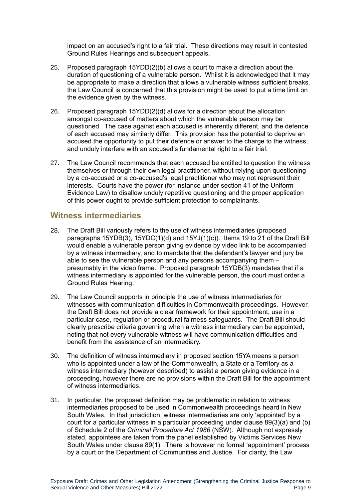impact on an accused's right to a fair trial. These directions may result in contested Ground Rules Hearings and subsequent appeals.

- 25. Proposed paragraph 15YDD(2)(b) allows a court to make a direction about the duration of questioning of a vulnerable person. Whilst it is acknowledged that it may be appropriate to make a direction that allows a vulnerable witness sufficient breaks, the Law Council is concerned that this provision might be used to put a time limit on the evidence given by the witness.
- 26. Proposed paragraph 15YDD(2)(d) allows for a direction about the allocation amongst co-accused of matters about which the vulnerable person may be questioned. The case against each accused is inherently different, and the defence of each accused may similarly differ. This provision has the potential to deprive an accused the opportunity to put their defence or answer to the charge to the witness, and unduly interfere with an accused's fundamental right to a fair trial.
- 27. The Law Council recommends that each accused be entitled to question the witness themselves or through their own legal practitioner, without relying upon questioning by a co-accused or a co-accused's legal practitioner who may not represent their interests. Courts have the power (for instance under section 41 of the Uniform Evidence Law) to disallow unduly repetitive questioning and the proper application of this power ought to provide sufficient protection to complainants.

#### <span id="page-8-0"></span>**Witness intermediaries**

- 28. The Draft Bill variously refers to the use of witness intermediaries (proposed paragraphs 15YDB(3),  $15YDC(1)(d)$  and  $15YJ(1)(c)$ ). Items 19 to 21 of the Draft Bill would enable a vulnerable person giving evidence by video link to be accompanied by a witness intermediary, and to mandate that the defendant's lawyer and jury be able to see the vulnerable person and any persons accompanying them – presumably in the video frame. Proposed paragraph 15YDB(3) mandates that if a witness intermediary is appointed for the vulnerable person, the court must order a Ground Rules Hearing.
- 29. The Law Council supports in principle the use of witness intermediaries for witnesses with communication difficulties in Commonwealth proceedings. However, the Draft Bill does not provide a clear framework for their appointment, use in a particular case, regulation or procedural fairness safeguards. The Draft Bill should clearly prescribe criteria governing when a witness intermediary can be appointed, noting that not every vulnerable witness will have communication difficulties and benefit from the assistance of an intermediary.
- 30. The definition of witness intermediary in proposed section 15YA means a person who is appointed under a law of the Commonwealth, a State or a Territory as a witness intermediary (however described) to assist a person giving evidence in a proceeding, however there are no provisions within the Draft Bill for the appointment of witness intermediaries.
- 31. In particular, the proposed definition may be problematic in relation to witness intermediaries proposed to be used in Commonwealth proceedings heard in New South Wales. In that jurisdiction, witness intermediaries are only 'appointed' by a court for a particular witness in a particular proceeding under clause 89(3)(a) and (b) of Schedule 2 of the *Criminal Procedure Act 1986* (NSW). Although not expressly stated, appointees are taken from the panel established by Victims Services New South Wales under clause 89(1). There is however no formal 'appointment' process by a court or the Department of Communities and Justice. For clarity, the Law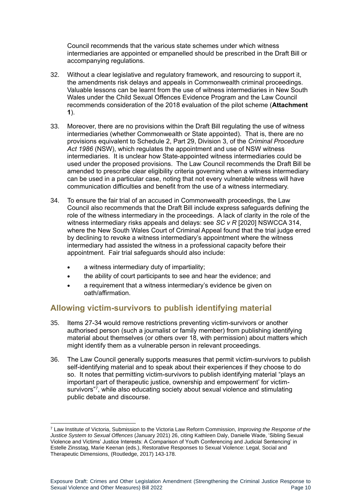Council recommends that the various state schemes under which witness intermediaries are appointed or empanelled should be prescribed in the Draft Bill or accompanying regulations.

- 32. Without a clear legislative and regulatory framework, and resourcing to support it, the amendments risk delays and appeals in Commonwealth criminal proceedings. Valuable lessons can be learnt from the use of witness intermediaries in New South Wales under the Child Sexual Offences Evidence Program and the Law Council recommends consideration of the 2018 evaluation of the pilot scheme (**Attachment 1**).
- 33. Moreover, there are no provisions within the Draft Bill regulating the use of witness intermediaries (whether Commonwealth or State appointed). That is, there are no provisions equivalent to Schedule 2, Part 29, Division 3, of the *Criminal Procedure Act 1986* (NSW), which regulates the appointment and use of NSW witness intermediaries. It is unclear how State-appointed witness intermediaries could be used under the proposed provisions. The Law Council recommends the Draft Bill be amended to prescribe clear eligibility criteria governing when a witness intermediary can be used in a particular case, noting that not every vulnerable witness will have communication difficulties and benefit from the use of a witness intermediary.
- 34. To ensure the fair trial of an accused in Commonwealth proceedings, the Law Council also recommends that the Draft Bill include express safeguards defining the role of the witness intermediary in the proceedings. A lack of clarity in the role of the witness intermediary risks appeals and delays: see *SC v R* [2020] NSWCCA 314, where the New South Wales Court of Criminal Appeal found that the trial judge erred by declining to revoke a witness intermediary's appointment where the witness intermediary had assisted the witness in a professional capacity before their appointment. Fair trial safeguards should also include:
	- a witness intermediary duty of impartiality;
	- the ability of court participants to see and hear the evidence; and
	- a requirement that a witness intermediary's evidence be given on oath/affirmation.

#### <span id="page-9-0"></span>**Allowing victim-survivors to publish identifying material**

- 35. Items 27-34 would remove restrictions preventing victim-survivors or another authorised person (such a journalist or family member) from publishing identifying material about themselves (or others over 18, with permission) about matters which might identify them as a vulnerable person in relevant proceedings.
- 36. The Law Council generally supports measures that permit victim-survivors to publish self-identifying material and to speak about their experiences if they choose to do so. It notes that permitting victim-survivors to publish identifying material "plays an important part of therapeutic justice, ownership and empowerment' for victimsurvivors"7, while also educating society about sexual violence and stimulating public debate and discourse.

<sup>7</sup> Law Institute of Victoria, Submission to the Victoria Law Reform Commission, *Improving the Response of the Justice System to Sexual Offences* (January 2021) 26, citing Kathleen Daly, Danielle Wade, 'Sibling Sexual Violence and Victims' Justice Interests: A Comparison of Youth Conferencing and Judicial Sentencing' in Estelle Zinsstag, Marie Keenan (eds.), Restorative Responses to Sexual Violence: Legal, Social and Therapeutic Dimensions, (Routledge, 2017) 143-178.